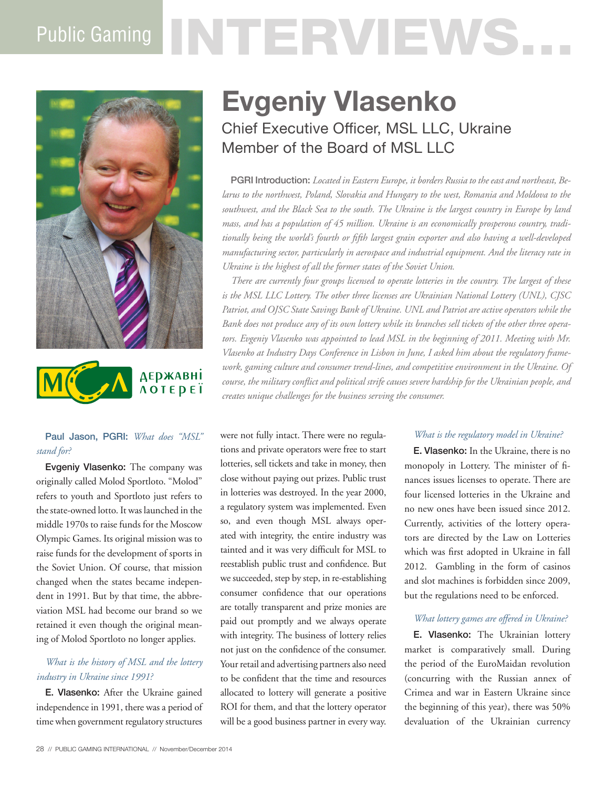# Public Gaming NTTERVIEWS.





#### Paul Jason, PGRI: *What does "MSL" stand for?*

Evgeniy Vlasenko: The company was originally called Molod Sportloto. "Molod" refers to youth and Sportloto just refers to the state-owned lotto. It was launched in the middle 1970s to raise funds for the Moscow Olympic Games. Its original mission was to raise funds for the development of sports in the Soviet Union. Of course, that mission changed when the states became independent in 1991. But by that time, the abbreviation MSL had become our brand so we retained it even though the original meaning of Molod Sportloto no longer applies.

#### *What is the history of MSL and the lottery industry in Ukraine since 1991?*

E. Vlasenko: After the Ukraine gained independence in 1991, there was a period of time when government regulatory structures

# **Evgeniy Vlasenko** Chief Executive Officer, MSL LLC, Ukraine Member of the Board of MSL LLC

PGRI Introduction: *Located in Eastern Europe, it borders Russia to the east and northeast, Belarus to the northwest, Poland, Slovakia and Hungary to the west, Romania and Moldova to the southwest, and the Black Sea to the south. The Ukraine is the largest country in Europe by land mass, and has a population of 45 million. Ukraine is an economically prosperous country, traditionally being the world's fourth or fifth largest grain exporter and also having a well-developed manufacturing sector, particularly in aerospace and industrial equipment. And the literacy rate in Ukraine is the highest of all the former states of the Soviet Union.* 

*There are currently four groups licensed to operate lotteries in the country. The largest of these is the MSL LLC Lottery. The other three licenses are Ukrainian National Lottery (UNL), CJSC Patriot, and OJSC State Savings Bank of Ukraine. UNL and Patriot are active operators while the Bank does not produce any of its own lottery while its branches sell tickets of the other three operators. Evgeniy Vlasenko was appointed to lead MSL in the beginning of 2011. Meeting with Mr. Vlasenko at Industry Days Conference in Lisbon in June, I asked him about the regulatory framework, gaming culture and consumer trend-lines, and competitive environment in the Ukraine. Of course, the military conflict and political strife causes severe hardship for the Ukrainian people, and creates unique challenges for the business serving the consumer.* 

were not fully intact. There were no regulations and private operators were free to start lotteries, sell tickets and take in money, then close without paying out prizes. Public trust in lotteries was destroyed. In the year 2000, a regulatory system was implemented. Even so, and even though MSL always operated with integrity, the entire industry was tainted and it was very difficult for MSL to reestablish public trust and confidence. But we succeeded, step by step, in re-establishing consumer confidence that our operations are totally transparent and prize monies are paid out promptly and we always operate with integrity. The business of lottery relies not just on the confidence of the consumer. Your retail and advertising partners also need to be confident that the time and resources allocated to lottery will generate a positive ROI for them, and that the lottery operator will be a good business partner in every way.

#### *What is the regulatory model in Ukraine?*

E. Vlasenko: In the Ukraine, there is no monopoly in Lottery. The minister of finances issues licenses to operate. There are four licensed lotteries in the Ukraine and no new ones have been issued since 2012. Currently, activities of the lottery operators are directed by the Law on Lotteries which was first adopted in Ukraine in fall 2012. Gambling in the form of casinos and slot machines is forbidden since 2009, but the regulations need to be enforced.

#### *What lottery games are offered in Ukraine?*

E. Vlasenko: The Ukrainian lottery market is comparatively small. During the period of the EuroMaidan revolution (concurring with the Russian annex of Crimea and war in Eastern Ukraine since the beginning of this year), there was 50% devaluation of the Ukrainian currency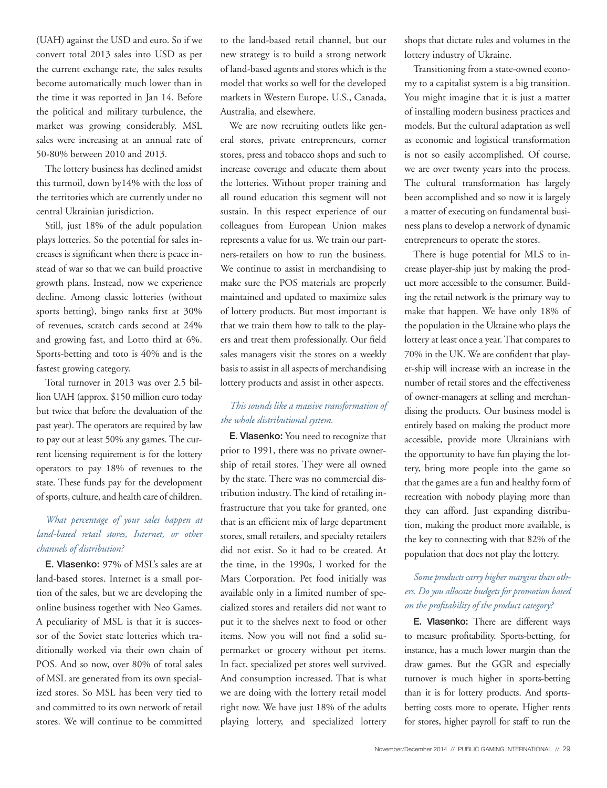(UAH) against the USD and euro. So if we convert total 2013 sales into USD as per the current exchange rate, the sales results become automatically much lower than in the time it was reported in Jan 14. Before the political and military turbulence, the market was growing considerably. MSL sales were increasing at an annual rate of 50-80% between 2010 and 2013.

The lottery business has declined amidst this turmoil, down by14% with the loss of the territories which are currently under no central Ukrainian jurisdiction.

Still, just 18% of the adult population plays lotteries. So the potential for sales increases is significant when there is peace instead of war so that we can build proactive growth plans. Instead, now we experience decline. Among classic lotteries (without sports betting), bingo ranks first at 30% of revenues, scratch cards second at 24% and growing fast, and Lotto third at 6%. Sports-betting and toto is 40% and is the fastest growing category.

Total turnover in 2013 was over 2.5 billion UAH (approx. \$150 million euro today but twice that before the devaluation of the past year). The operators are required by law to pay out at least 50% any games. The current licensing requirement is for the lottery operators to pay 18% of revenues to the state. These funds pay for the development of sports, culture, and health care of children.

### *What percentage of your sales happen at land-based retail stores, Internet, or other channels of distribution?*

E. Vlasenko: 97% of MSL's sales are at land-based stores. Internet is a small portion of the sales, but we are developing the online business together with Neo Games. A peculiarity of MSL is that it is successor of the Soviet state lotteries which traditionally worked via their own chain of POS. And so now, over 80% of total sales of MSL are generated from its own specialized stores. So MSL has been very tied to and committed to its own network of retail stores. We will continue to be committed

to the land-based retail channel, but our new strategy is to build a strong network of land-based agents and stores which is the model that works so well for the developed markets in Western Europe, U.S., Canada, Australia, and elsewhere.

We are now recruiting outlets like general stores, private entrepreneurs, corner stores, press and tobacco shops and such to increase coverage and educate them about the lotteries. Without proper training and all round education this segment will not sustain. In this respect experience of our colleagues from European Union makes represents a value for us. We train our partners-retailers on how to run the business. We continue to assist in merchandising to make sure the POS materials are properly maintained and updated to maximize sales of lottery products. But most important is that we train them how to talk to the players and treat them professionally. Our field sales managers visit the stores on a weekly basis to assist in all aspects of merchandising lottery products and assist in other aspects.

#### *This sounds like a massive transformation of the whole distributional system.*

E. Vlasenko: You need to recognize that prior to 1991, there was no private ownership of retail stores. They were all owned by the state. There was no commercial distribution industry. The kind of retailing infrastructure that you take for granted, one that is an efficient mix of large department stores, small retailers, and specialty retailers did not exist. So it had to be created. At the time, in the 1990s, I worked for the Mars Corporation. Pet food initially was available only in a limited number of specialized stores and retailers did not want to put it to the shelves next to food or other items. Now you will not find a solid supermarket or grocery without pet items. In fact, specialized pet stores well survived. And consumption increased. That is what we are doing with the lottery retail model right now. We have just 18% of the adults playing lottery, and specialized lottery

shops that dictate rules and volumes in the lottery industry of Ukraine.

Transitioning from a state-owned economy to a capitalist system is a big transition. You might imagine that it is just a matter of installing modern business practices and models. But the cultural adaptation as well as economic and logistical transformation is not so easily accomplished. Of course, we are over twenty years into the process. The cultural transformation has largely been accomplished and so now it is largely a matter of executing on fundamental business plans to develop a network of dynamic entrepreneurs to operate the stores.

There is huge potential for MLS to increase player-ship just by making the product more accessible to the consumer. Building the retail network is the primary way to make that happen. We have only 18% of the population in the Ukraine who plays the lottery at least once a year. That compares to 70% in the UK. We are confident that player-ship will increase with an increase in the number of retail stores and the effectiveness of owner-managers at selling and merchandising the products. Our business model is entirely based on making the product more accessible, provide more Ukrainians with the opportunity to have fun playing the lottery, bring more people into the game so that the games are a fun and healthy form of recreation with nobody playing more than they can afford. Just expanding distribution, making the product more available, is the key to connecting with that 82% of the population that does not play the lottery.

### *Some products carry higher margins than others. Do you allocate budgets for promotion based on the profitability of the product category?*

E. Vlasenko: There are different ways to measure profitability. Sports-betting, for instance, has a much lower margin than the draw games. But the GGR and especially turnover is much higher in sports-betting than it is for lottery products. And sportsbetting costs more to operate. Higher rents for stores, higher payroll for staff to run the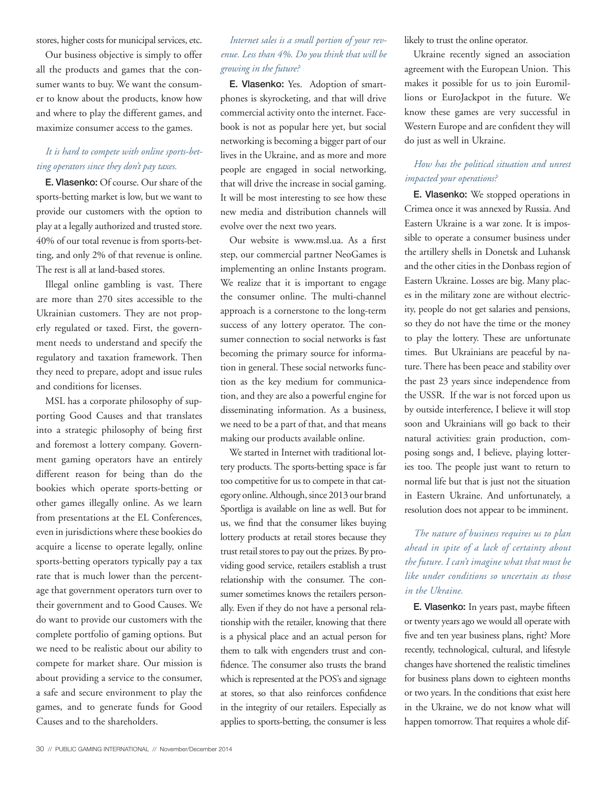stores, higher costs for municipal services, etc.

Our business objective is simply to offer all the products and games that the consumer wants to buy. We want the consumer to know about the products, know how and where to play the different games, and maximize consumer access to the games.

#### *It is hard to compete with online sports-betting operators since they don't pay taxes.*

E. Vlasenko: Of course. Our share of the sports-betting market is low, but we want to provide our customers with the option to play at a legally authorized and trusted store. 40% of our total revenue is from sports-betting, and only 2% of that revenue is online. The rest is all at land-based stores.

Illegal online gambling is vast. There are more than 270 sites accessible to the Ukrainian customers. They are not properly regulated or taxed. First, the government needs to understand and specify the regulatory and taxation framework. Then they need to prepare, adopt and issue rules and conditions for licenses.

MSL has a corporate philosophy of supporting Good Causes and that translates into a strategic philosophy of being first and foremost a lottery company. Government gaming operators have an entirely different reason for being than do the bookies which operate sports-betting or other games illegally online. As we learn from presentations at the EL Conferences, even in jurisdictions where these bookies do acquire a license to operate legally, online sports-betting operators typically pay a tax rate that is much lower than the percentage that government operators turn over to their government and to Good Causes. We do want to provide our customers with the complete portfolio of gaming options. But we need to be realistic about our ability to compete for market share. Our mission is about providing a service to the consumer, a safe and secure environment to play the games, and to generate funds for Good Causes and to the shareholders.

#### *Internet sales is a small portion of your revenue. Less than 4%. Do you think that will be growing in the future?*

E. Vlasenko: Yes. Adoption of smartphones is skyrocketing, and that will drive commercial activity onto the internet. Facebook is not as popular here yet, but social networking is becoming a bigger part of our lives in the Ukraine, and as more and more people are engaged in social networking, that will drive the increase in social gaming. It will be most interesting to see how these new media and distribution channels will evolve over the next two years.

Our website is www.msl.ua. As a first step, our commercial partner NeoGames is implementing an online Instants program. We realize that it is important to engage the consumer online. The multi-channel approach is a cornerstone to the long-term success of any lottery operator. The consumer connection to social networks is fast becoming the primary source for information in general. These social networks function as the key medium for communication, and they are also a powerful engine for disseminating information. As a business, we need to be a part of that, and that means making our products available online.

We started in Internet with traditional lottery products. The sports-betting space is far too competitive for us to compete in that category online. Although, since 2013 our brand Sportliga is available on line as well. But for us, we find that the consumer likes buying lottery products at retail stores because they trust retail stores to pay out the prizes. By providing good service, retailers establish a trust relationship with the consumer. The consumer sometimes knows the retailers personally. Even if they do not have a personal relationship with the retailer, knowing that there is a physical place and an actual person for them to talk with engenders trust and confidence. The consumer also trusts the brand which is represented at the POS's and signage at stores, so that also reinforces confidence in the integrity of our retailers. Especially as applies to sports-betting, the consumer is less

likely to trust the online operator.

Ukraine recently signed an association agreement with the European Union. This makes it possible for us to join Euromillions or EuroJackpot in the future. We know these games are very successful in Western Europe and are confident they will do just as well in Ukraine.

#### *How has the political situation and unrest impacted your operations?*

E. Vlasenko: We stopped operations in Crimea once it was annexed by Russia. And Eastern Ukraine is a war zone. It is impossible to operate a consumer business under the artillery shells in Donetsk and Luhansk and the other cities in the Donbass region of Eastern Ukraine. Losses are big. Many places in the military zone are without electricity, people do not get salaries and pensions, so they do not have the time or the money to play the lottery. These are unfortunate times. But Ukrainians are peaceful by nature. There has been peace and stability over the past 23 years since independence from the USSR. If the war is not forced upon us by outside interference, I believe it will stop soon and Ukrainians will go back to their natural activities: grain production, composing songs and, I believe, playing lotteries too. The people just want to return to normal life but that is just not the situation in Eastern Ukraine. And unfortunately, a resolution does not appear to be imminent.

## *The nature of business requires us to plan ahead in spite of a lack of certainty about the future. I can't imagine what that must be like under conditions so uncertain as those in the Ukraine.*

E. Vlasenko: In years past, maybe fifteen or twenty years ago we would all operate with five and ten year business plans, right? More recently, technological, cultural, and lifestyle changes have shortened the realistic timelines for business plans down to eighteen months or two years. In the conditions that exist here in the Ukraine, we do not know what will happen tomorrow. That requires a whole dif